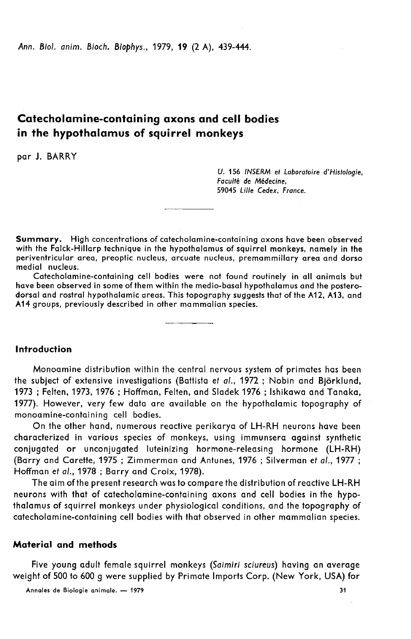Ann. Biol. anim. Bioch. Biophys., 1979, 19 (2 A), 439-444.

# Catecholamine-containing axons and cell bodies in the hypothalamus of squirrel monkeys

par J. BARRY

U. 156 INSERM et Laboratoire d'Hisfologie, Faculté de Médecine, 59045 Lille Cedex, France.

Summary. High concentrations of catecholamine-containing axons have been observed with the Falck-Hillarp technique in the hypothalamus of squirrel monkeys, namely in the periventricular area, preoptic nucleus, arcuate nucleus, premammillary area and dorso medial nucleus.

Catecholamine-containing cell bodies were not found routinely in all animals but have been observed in some of them within the medio-basal hypothalamus and the posterodorsal and rostral hypothalamic areas. This topography suggests that of the A12, A13, and A14 groups, previously described in other mammalian species.

#### **Introduction**

Monoamine distribution within the central nervous system of primates has been the subject of extensive investigations (Battista et al., 1972; Nobin and Björklund, 1973 ; Felten, 1973, 1976 ; Hoffman, Felten, and Sladek 1976 ; lshikuwa and Tanaka, 1977). However, very few data are available on the hypothalamic topography of monoamine-containing cell bodies.

On the other hand, numerous reactive perikarya of LH-RH neurons have been characterized in various species of monkeys, using immunsera against synthetic conjugated or unconjugated luteinizing hormone-releasing hormone (LH-RH) (Barry and Carette, 1975 ; Zimmerman and Antunes, 1976 ; Silverman et al., 1977 ; Hoffman et a/., 1978 ; Barry and Croix, 1978).

The aim of the present research was to compare the distribution of reactive LH-RH neurons with that of catecholamine-containing axons and cell bodies in the hypothalamus of squirrel monkeys under physiological conditions, and the topography of catecholamine-containing cell bodies with that observed in other mammalian species.

## Material and methods

Five young adult female squirrel monkeys (Saimiri sciureus) having an average weight of 500 to 600 g were supplied by Primate Imports Corp. (New York, USA) for

Annales de Biologie animale. - 1979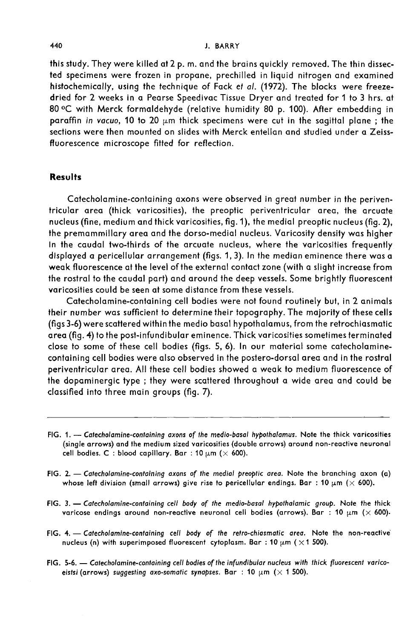this study. They were killed at 2 p. m. and the brains quickly removed. The thin dissected specimens were frozen in propane, prechilled in liquid nitrogen and examined histochemically, using the technique of Fack et al. (1972). The blocks were freezedried for 2 weeks in a Pearse Speedivac Tissue Dryer and treated for 1 to 3 hrs. at 80 °C with Merck formaldehyde (relative humidity 80 p. 100). After embedding in paraffin in vacuo, 10 to 20  $\mu$ m thick specimens were cut in the sagittal plane; the sections were then mounted on slides with Merck entellan and studied under a Zeissfluorescence microscope fitted for reflection.

## **Results**

Catecholamine-containing axons were observed in great number in the periventricular area (thick varicosities), the preoptic periventricular area, the arcuate nucleus (fine, medium and thick varicosities, fig.1), the medial preoptic nucleus (fig. 2), the premammillary area and the dorso-medial nucleus. Varicosity density was higher In the caudal two-thirds of the arcuate nucleus, where the varicosities frequently displayed a pericellular arrangement (figs. 1, 3). In the median eminence there was a weak fluorescence at the level of the external contact zone (with a slight increase from the rostral to the caudal part) and around the deep vessels. Some brightly fluorescent varicosities could be seen at some distance from these vessels.

Catecholamine-containing cell bodies were not found routinely but, in 2 animals their number was sufficient to determine their topography. The majority of these cells (figs 3-6) were scattered within the medio basal hypothalamus, from the retrochiasmatic area (fig. 4) to the post-infundibular eminence. Thick varicosities sometimes terminated close to some of these cell bodies (figs. 5, 6). In our material some catecholaminecontaining cell bodies were also observed in the postero-dorsal area and in the rostral periventricular area. All these cell bodies showed a weak to medium fluorescence of the dopaminergic type ; they were scattered throughout a wide area and could be classified into three main groups (fig. 7).

- FIG. 1. Catecholamine-containing axons of the medio-basal hypothalamus. Note the thick varicosities (single arrows) and the medium sized varicosities (double arrows) around non-reactive neuronal cell bodies. C : blood capillary. Bar : 10  $\mu$ m ( $\times$  600).
- FIG. 2. Catecholamine-containing axons of the medial preoptic area. Note the branching axon (a) whose left division (small arrows) give rise to pericellular endings. Bar: 10  $\mu$ m ( $\times$  600).
- FIG. 3. Catecholamine-containing cell body of the medio-basal hypothalamic group. Note the thick varicose endings around non-reactive neuronal cell bodies (arrows). Bar: 10  $\mu$ m ( $\times$  600).
- FIG. 4. Catecholamine-containing cell body of the retro-chiasmatic area. Note the non-reactive nucleus (n) with superimposed fluorescent cytoplasm. Bar: 10  $\mu$ m ( $\times$ 1 500).
- FIG. 5-6. Catecholamine-containing cell bodies of the infundibular nucleus with thick fluorescent varicoeistsi (arrows) suggesting axo-somatic synapses. Bar: 10  $\mu$ m ( $\times$  1 500).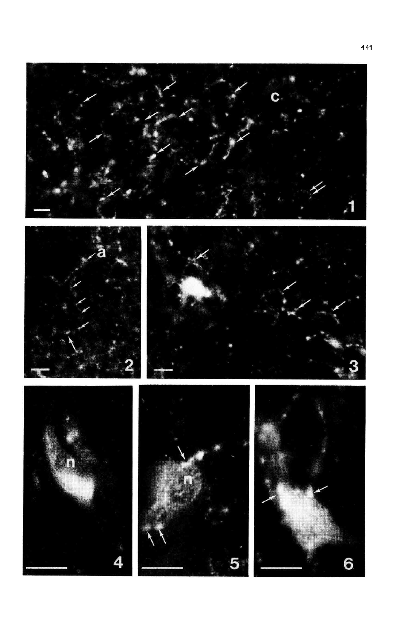





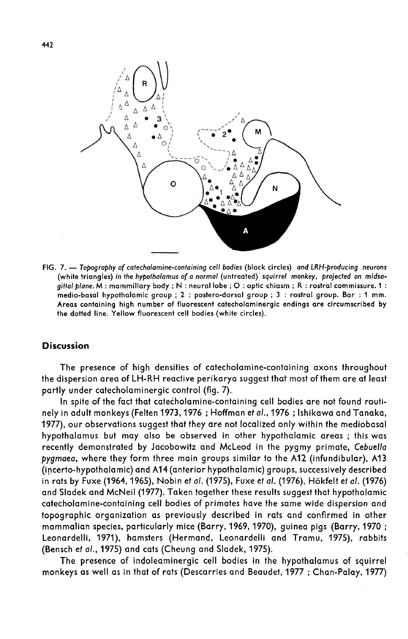

FIG. 7. - Topography of catecholamine-containing cell bodies (black circles) and LRH-producing neurons (white triangles) in the hypothalamus of a normal (untreated) squirrel monkey, projected on midsagittal blane. M : mammillary body ; N : neural lobe ; O : optic chiasm ; R : rostral commissure. 1 : medio-basal hypothalamic group ; 2 : postero-dorsal group ; 3 : rostral group. Bar : 1 mm. Areas containing high number of fluorescent catecholaminergic endings are circumscribed by the dotted line. Yellow fluorescent cell bodies (white circles).

## **Discussion**

The presence of high densities of catecholamine-containing axons throughout the dispersion area of LH-RH reactive perikarya suggest that most of them are at least partly under catecholaminergic control (fig. 7).

In spite of the fact that catecholamine-containing cell bodies are not found routinely in adult monkeys (Felten 1973, 1976 ; Hoffman et al., 1976 ; lshikawa and Tanaka, 1977), our observations suggest that they are not localized only within the mediobasal hypothalamus but may also be observed in other hypothalamic areas ; this was recently demonstrated by Jacobowitz and McLeod in the pygmy primate, Cebuella pygmaea, where they form three main groups similar to the A12 (infundibular), A13 (incerto-hypothalamic) and A14 (anterior hypothalamic) groups, successively described in rats by Fuxe (1964, 1965), Nobin et al. (1975), Fuxe et al. (1976), Hökfelt et al. (1976) and Sladek and McNeil (1977). Taken together these results suggest that hypothalamic catecholamine-containing cell bodies of primates have the same wide dispersion and topographic organization as previously described in rats and confirmed in other mammalian species, particularly mice (Barry, 1969, 1970), guinea pigs (Barry, 1970 ; Leonardelli, 1971), hamsters (Hermand, Leonardelli and Tramu, 1975), rabbits (Bensch et a/., 1975) and cats (Cheung and Sladek, 1975).

The presence of indoleaminergic cell bodies in the hypothalamus of squirrel monkeys as well as in that of rats (Descarries and Beaudet, 1977 ; Chan-Palay, 1977)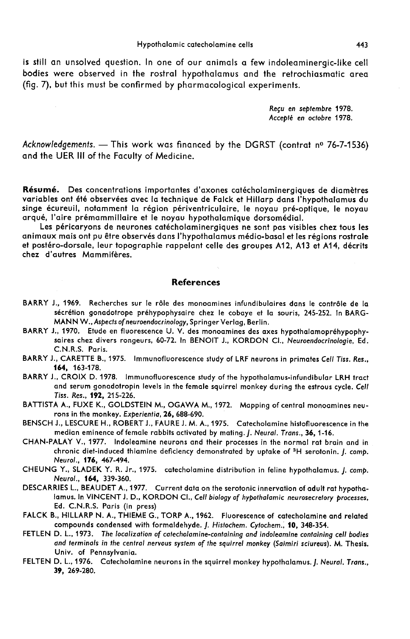is still an unsolved question. In one of our animals a few indoleaminergic-like cell bodies were observed in the rostral hypothalamus and the retrochiasmatic area (fig. 7), but this must be confirmed by pharmacological experiments.

> Reçu en septembre 1978. Accepté en octobre 1978.

Acknowledgements.  $-$  This work was financed by the DGRST (contrat nº 76-7-1536) and the UER III of the Faculty of Medicine.

Résumé. Des concentrations importantes d'axones catécholaminergiques de diamètres variables ont été observées avec la technique de Falck et Hillarp dans l'hypothalamus du singe écureuil, notamment la région périventriculaire, le noyau pré-optique, le noyau arqué, l'aire prémammillaire et le noyau hypothalamique dorsomédial.

Les péricaryons de neurones catécholaminergiques ne sont pas visibles chez tous les animaux mais ont pu être observés dans l'hypothalamus médio-basal et les régions rostrale et postéro-dorsale, leur topographie rappelant celle des groupes A12, A13 et A14, décrits chez d'autres Mammifères.

## References

- BARRY J., 1969. Recherches sur le r6le des monoamines infundibulaires dans le contr6le de la sécrétion gonadotrope préhypophysaire chez le cobaye et la souris, 245-252. In BARG-MANN W., Aspects of neuroendocrinology, Springer Verlag, Berlin.
- BARRY J., 1970. Etude en fluorescence U. V. des monoamines des axes hypothalamopréhypophysaires chez divers rongeurs, 60-72. In BENOIT J., KORDON Cl., Neuroendocrinologie, Ed. C.N.R.S. Paris.
- BARRY J., CARETTE B., 1975. Immunofluorescence study of LRF neurons in primates Cell Tiss. Res., 164, 163-178.
- BARRY J., CROIX D. 1978. Immunofluorescence study of the hypothalamus-infundibular LRH tract and serum gonadotropin levels in the female squirrel monkey during the estrous cycle. Cell Tiss. Res., 192, 215-226.
- BATTISTA A., FUXE K., GOLDSTEIN M., OGAWA M., 1972. Mapping of central monoamines neurons in the monkey. Experientia, 26, 688-690.
- BENSCH J., LESCURE H., ROBERT J., FAURE J. M. A., 1975. Catecholamine histofluorescence in the median eminence of female rabbits activated by mating. J. Neural. Trans., 36, 1-16.
- CHAN-PALAY V., 1977. lndoleamine neurons and their processes in the normal rat brain and in chronic diet-induced thiamine deficiency demonstrated by uptake of <sup>3</sup>H serotonin. *J. comp.* Neurol., 176, 467-494.
- CHEUNG Y., SLADEK Y. R. Jr., 1975. catecholamine distribution in feline hypothalamus. J. comp. Neural., 164, 339-360.
- DESCARRIES L., BEAUDET A., 1977. Current data on the serotonic innervation of adult rat hypothalamus. In VINCENT J. D., KORDON Cl., Cell biology of hypothalamic neurosecretory processes, Ed. C.N.R.S. Paris (in press)
- FALCK B., HILLARP N. A., THIEME G., TORP A., 1962. Fluorescence of catecholamine and related compounds condensed with formaldehyde. J. Histochem. Cytochem., 10, 348-354.
- FETLEN D. L., 1973. The localization of catecholamine-containing and indoleamine containing cell bodies and terminals in the central nervous system of the squirrel monkey (Saimiri sciureus). M. Thesis.<br>Univ. of Pennsylvania.
- FELTEN D. L., 1976. Catecholamine neurons in the squirrel monkey hypothalamus. J. Neural. Trans., 39, 269-280.